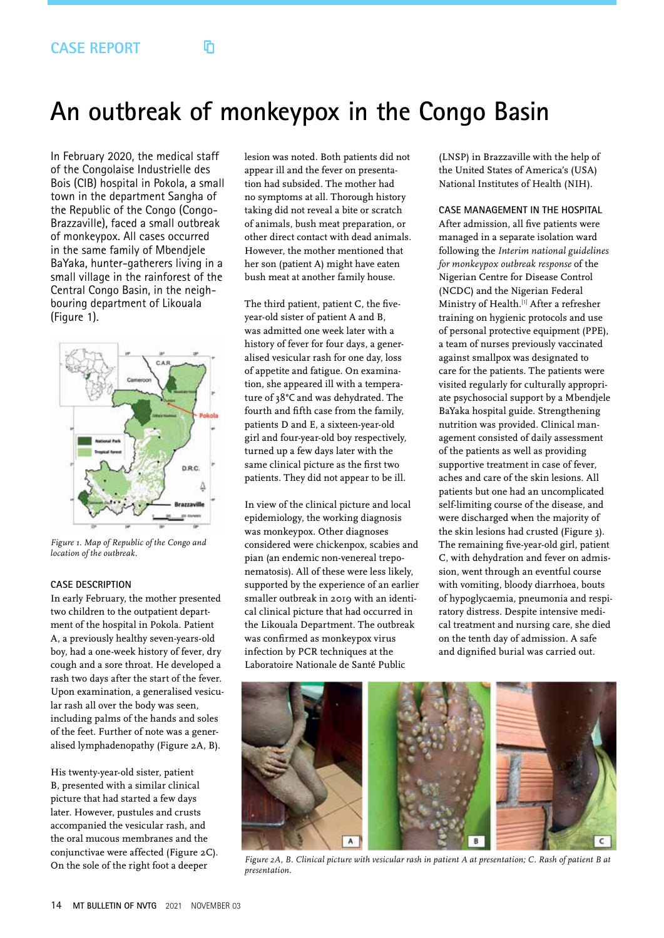# በ

# **An outbreak of monkeypox in the Congo Basin**

In February 2020, the medical staff of the Congolaise Industrielle des Bois (CIB) hospital in Pokola, a small town in the department Sangha of the Republic of the Congo (Congo-Brazzaville), faced a small outbreak of monkeypox. All cases occurred in the same family of Mbendjele BaYaka, hunter-gatherers living in a small village in the rainforest of the Central Congo Basin, in the neighbouring department of Likouala (Figure 1).



*Figure 1. Map of Republic of the Congo and location of the outbreak.*

### **CASE DESCRIPTION**

In early February, the mother presented two children to the outpatient department of the hospital in Pokola. Patient A, a previously healthy seven-years-old boy, had a one-week history of fever, dry cough and a sore throat. He developed a rash two days after the start of the fever. Upon examination, a generalised vesicular rash all over the body was seen, including palms of the hands and soles of the feet. Further of note was a generalised lymphadenopathy (Figure 2A, B).

His twenty-year-old sister, patient B, presented with a similar clinical picture that had started a few days later. However, pustules and crusts accompanied the vesicular rash, and the oral mucous membranes and the conjunctivae were affected (Figure 2C). On the sole of the right foot a deeper

lesion was noted. Both patients did not appear ill and the fever on presentation had subsided. The mother had no symptoms at all. Thorough history taking did not reveal a bite or scratch of animals, bush meat preparation, or other direct contact with dead animals. However, the mother mentioned that her son (patient A) might have eaten bush meat at another family house.

The third patient, patient C, the fiveyear-old sister of patient A and B, was admitted one week later with a history of fever for four days, a generalised vesicular rash for one day, loss of appetite and fatigue. On examination, she appeared ill with a temperature of 38°C and was dehydrated. The fourth and fifth case from the family, patients D and E, a sixteen-year-old girl and four-year-old boy respectively, turned up a few days later with the same clinical picture as the first two patients. They did not appear to be ill.

In view of the clinical picture and local epidemiology, the working diagnosis was monkeypox. Other diagnoses considered were chickenpox, scabies and pian (an endemic non-venereal treponematosis). All of these were less likely, supported by the experience of an earlier smaller outbreak in 2019 with an identical clinical picture that had occurred in the Likouala Department. The outbreak was confirmed as monkeypox virus infection by PCR techniques at the Laboratoire Nationale de Santé Public

(LNSP) in Brazzaville with the help of the United States of America's (USA) National Institutes of Health (NIH).

### **CASE MANAGEMENT IN THE HOSPITAL**

After admission, all five patients were managed in a separate isolation ward following the *Interim national guidelines for monkeypox outbreak response* of the Nigerian Centre for Disease Control (NCDC) and the Nigerian Federal Ministry of Health.[1] After a refresher training on hygienic protocols and use of personal protective equipment (PPE), a team of nurses previously vaccinated against smallpox was designated to care for the patients. The patients were visited regularly for culturally appropriate psychosocial support by a Mbendjele BaYaka hospital guide. Strengthening nutrition was provided. Clinical management consisted of daily assessment of the patients as well as providing supportive treatment in case of fever, aches and care of the skin lesions. All patients but one had an uncomplicated self-limiting course of the disease, and were discharged when the majority of the skin lesions had crusted (Figure 3). The remaining five-year-old girl, patient C, with dehydration and fever on admission, went through an eventful course with vomiting, bloody diarrhoea, bouts of hypoglycaemia, pneumonia and respiratory distress. Despite intensive medical treatment and nursing care, she died on the tenth day of admission. A safe and dignified burial was carried out.



*Figure 2A, B. Clinical picture with vesicular rash in patient A at presentation; C. Rash of patient B at presentation.*